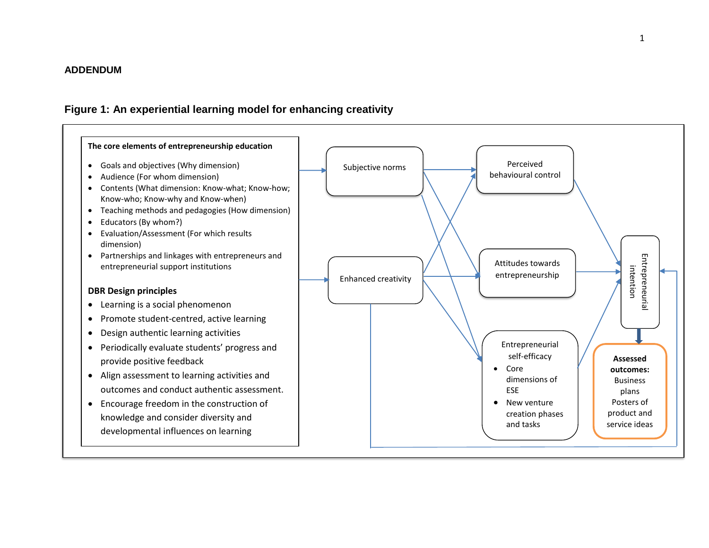## **ADDENDUM**

## **Figure 1: An experiential learning model for enhancing creativity**

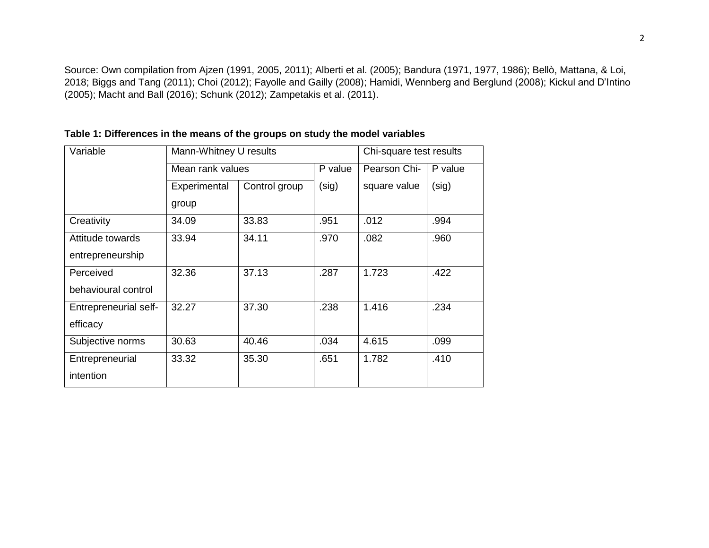Source: Own compilation from Ajzen (1991, 2005, 2011); Alberti et al. (2005); Bandura (1971, 1977, 1986); Bellò, Mattana, & Loi, 2018; Biggs and Tang (2011); Choi (2012); Fayolle and Gailly (2008); Hamidi, Wennberg and Berglund (2008); Kickul and D'Intino (2005); Macht and Ball (2016); Schunk (2012); Zampetakis et al. (2011).

| Mann-Whitney U results        |       |         | Chi-square test results |         |
|-------------------------------|-------|---------|-------------------------|---------|
| Mean rank values              |       | P value | Pearson Chi-            | P value |
| Control group<br>Experimental |       | (sig)   | square value            | (sig)   |
| group                         |       |         |                         |         |
| 34.09                         | 33.83 | .951    | .012                    | .994    |
| 33.94                         | 34.11 | .970    | .082                    | .960    |
|                               |       |         |                         |         |
| 32.36                         | 37.13 | .287    | 1.723                   | .422    |
|                               |       |         |                         |         |
| 32.27                         | 37.30 | .238    | 1.416                   | .234    |
|                               |       |         |                         |         |
| 30.63                         | 40.46 | .034    | 4.615                   | .099    |
| 33.32                         | 35.30 | .651    | 1.782                   | .410    |
|                               |       |         |                         |         |
|                               |       |         |                         |         |

**Table 1: Differences in the means of the groups on study the model variables**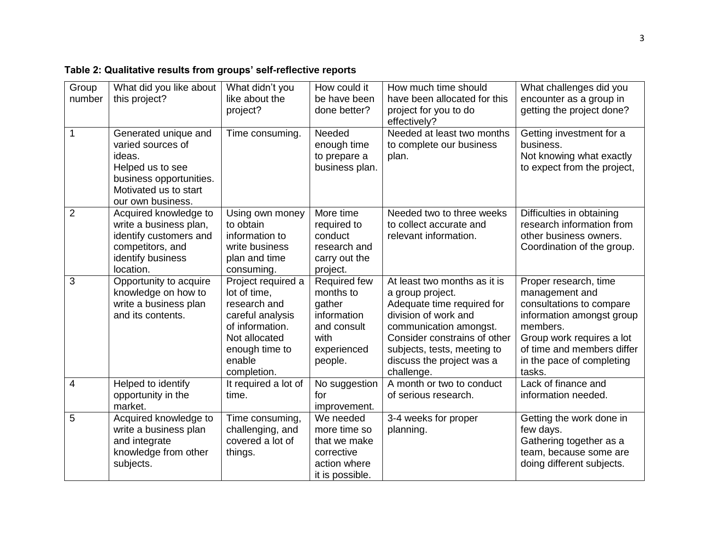| Table 2: Qualitative results from groups' self-reflective reports |
|-------------------------------------------------------------------|
|-------------------------------------------------------------------|

| Group<br>number | What did you like about<br>this project?                                                                                                         | What didn't you<br>like about the<br>project?                                                                                                         | How could it<br>be have been<br>done better?                                                               | How much time should<br>have been allocated for this<br>project for you to do<br>effectively?                                                                                                                                              | What challenges did you<br>encounter as a group in<br>getting the project done?                                                                                                                                |
|-----------------|--------------------------------------------------------------------------------------------------------------------------------------------------|-------------------------------------------------------------------------------------------------------------------------------------------------------|------------------------------------------------------------------------------------------------------------|--------------------------------------------------------------------------------------------------------------------------------------------------------------------------------------------------------------------------------------------|----------------------------------------------------------------------------------------------------------------------------------------------------------------------------------------------------------------|
| $\mathbf 1$     | Generated unique and<br>varied sources of<br>ideas.<br>Helped us to see<br>business opportunities.<br>Motivated us to start<br>our own business. | Time consuming.                                                                                                                                       | Needed<br>enough time<br>to prepare a<br>business plan.                                                    | Needed at least two months<br>to complete our business<br>plan.                                                                                                                                                                            | Getting investment for a<br>business.<br>Not knowing what exactly<br>to expect from the project,                                                                                                               |
| $\overline{2}$  | Acquired knowledge to<br>write a business plan,<br>identify customers and<br>competitors, and<br>identify business<br>location.                  | Using own money<br>to obtain<br>information to<br>write business<br>plan and time<br>consuming.                                                       | More time<br>required to<br>conduct<br>research and<br>carry out the<br>project.                           | Needed two to three weeks<br>to collect accurate and<br>relevant information.                                                                                                                                                              | Difficulties in obtaining<br>research information from<br>other business owners.<br>Coordination of the group.                                                                                                 |
| 3               | Opportunity to acquire<br>knowledge on how to<br>write a business plan<br>and its contents.                                                      | Project required a<br>lot of time,<br>research and<br>careful analysis<br>of information.<br>Not allocated<br>enough time to<br>enable<br>completion. | <b>Required few</b><br>months to<br>gather<br>information<br>and consult<br>with<br>experienced<br>people. | At least two months as it is<br>a group project.<br>Adequate time required for<br>division of work and<br>communication amongst.<br>Consider constrains of other<br>subjects, tests, meeting to<br>discuss the project was a<br>challenge. | Proper research, time<br>management and<br>consultations to compare<br>information amongst group<br>members.<br>Group work requires a lot<br>of time and members differ<br>in the pace of completing<br>tasks. |
| 4               | Helped to identify<br>opportunity in the<br>market.                                                                                              | It required a lot of<br>time.                                                                                                                         | No suggestion<br>for<br>improvement.                                                                       | A month or two to conduct<br>of serious research.                                                                                                                                                                                          | Lack of finance and<br>information needed.                                                                                                                                                                     |
| 5               | Acquired knowledge to<br>write a business plan<br>and integrate<br>knowledge from other<br>subjects.                                             | Time consuming,<br>challenging, and<br>covered a lot of<br>things.                                                                                    | We needed<br>more time so<br>that we make<br>corrective<br>action where<br>it is possible.                 | 3-4 weeks for proper<br>planning.                                                                                                                                                                                                          | Getting the work done in<br>few days.<br>Gathering together as a<br>team, because some are<br>doing different subjects.                                                                                        |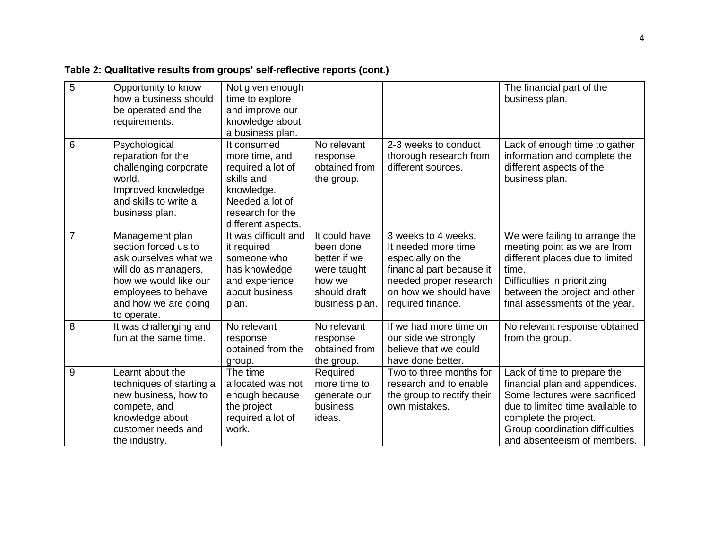| Table 2: Qualitative results from groups' self-reflective reports (cont.) |  |  |  |
|---------------------------------------------------------------------------|--|--|--|
|                                                                           |  |  |  |

| 5 | Opportunity to know<br>how a business should<br>be operated and the<br>requirements.                                                                                            | Not given enough<br>time to explore<br>and improve our<br>knowledge about<br>a business plan.                                               |                                                                                                       |                                                                                                                                                                      | The financial part of the<br>business plan.                                                                                                                                                                                   |
|---|---------------------------------------------------------------------------------------------------------------------------------------------------------------------------------|---------------------------------------------------------------------------------------------------------------------------------------------|-------------------------------------------------------------------------------------------------------|----------------------------------------------------------------------------------------------------------------------------------------------------------------------|-------------------------------------------------------------------------------------------------------------------------------------------------------------------------------------------------------------------------------|
| 6 | Psychological<br>reparation for the<br>challenging corporate<br>world.<br>Improved knowledge<br>and skills to write a<br>business plan.                                         | It consumed<br>more time, and<br>required a lot of<br>skills and<br>knowledge.<br>Needed a lot of<br>research for the<br>different aspects. | No relevant<br>response<br>obtained from<br>the group.                                                | 2-3 weeks to conduct<br>thorough research from<br>different sources.                                                                                                 | Lack of enough time to gather<br>information and complete the<br>different aspects of the<br>business plan.                                                                                                                   |
| 7 | Management plan<br>section forced us to<br>ask ourselves what we<br>will do as managers,<br>how we would like our<br>employees to behave<br>and how we are going<br>to operate. | It was difficult and<br>it required<br>someone who<br>has knowledge<br>and experience<br>about business<br>plan.                            | It could have<br>been done<br>better if we<br>were taught<br>how we<br>should draft<br>business plan. | 3 weeks to 4 weeks.<br>It needed more time<br>especially on the<br>financial part because it<br>needed proper research<br>on how we should have<br>required finance. | We were failing to arrange the<br>meeting point as we are from<br>different places due to limited<br>time.<br>Difficulties in prioritizing<br>between the project and other<br>final assessments of the year.                 |
| 8 | It was challenging and<br>fun at the same time.                                                                                                                                 | No relevant<br>response<br>obtained from the<br>group.                                                                                      | No relevant<br>response<br>obtained from<br>the group.                                                | If we had more time on<br>our side we strongly<br>believe that we could<br>have done better.                                                                         | No relevant response obtained<br>from the group.                                                                                                                                                                              |
| 9 | Learnt about the<br>techniques of starting a<br>new business, how to<br>compete, and<br>knowledge about<br>customer needs and<br>the industry.                                  | The time<br>allocated was not<br>enough because<br>the project<br>required a lot of<br>work.                                                | Required<br>more time to<br>generate our<br>business<br>ideas.                                        | Two to three months for<br>research and to enable<br>the group to rectify their<br>own mistakes.                                                                     | Lack of time to prepare the<br>financial plan and appendices.<br>Some lectures were sacrificed<br>due to limited time available to<br>complete the project.<br>Group coordination difficulties<br>and absenteeism of members. |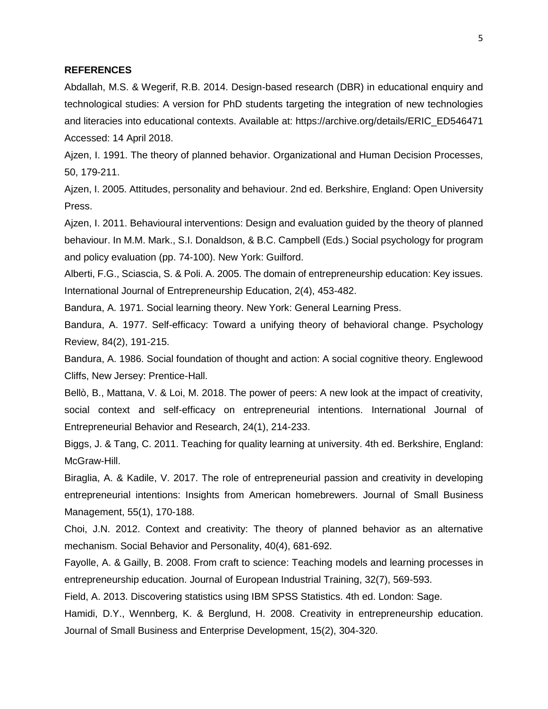## **REFERENCES**

Abdallah, M.S. & Wegerif, R.B. 2014. Design-based research (DBR) in educational enquiry and technological studies: A version for PhD students targeting the integration of new technologies and literacies into educational contexts. Available at: https://archive.org/details/ERIC\_ED546471 Accessed: 14 April 2018.

Ajzen, I. 1991. The theory of planned behavior. Organizational and Human Decision Processes, 50, 179-211.

Ajzen, I. 2005. Attitudes, personality and behaviour. 2nd ed. Berkshire, England: Open University Press.

Ajzen, I. 2011. Behavioural interventions: Design and evaluation guided by the theory of planned behaviour. In M.M. Mark., S.I. Donaldson, & B.C. Campbell (Eds.) Social psychology for program and policy evaluation (pp. 74-100). New York: Guilford.

Alberti, F.G., Sciascia, S. & Poli. A. 2005. The domain of entrepreneurship education: Key issues. International Journal of Entrepreneurship Education, 2(4), 453-482.

Bandura, A. 1971. Social learning theory. New York: General Learning Press.

Bandura, A. 1977. Self-efficacy: Toward a unifying theory of behavioral change. Psychology Review, 84(2), 191-215.

Bandura, A. 1986. Social foundation of thought and action: A social cognitive theory. Englewood Cliffs, New Jersey: Prentice-Hall.

Bellò, B., Mattana, V. & Loi, M. 2018. The power of peers: A new look at the impact of creativity, social context and self-efficacy on entrepreneurial intentions. International Journal of Entrepreneurial Behavior and Research, 24(1), 214-233.

Biggs, J. & Tang, C. 2011. Teaching for quality learning at university. 4th ed. Berkshire, England: McGraw-Hill.

Biraglia, A. & Kadile, V. 2017. The role of entrepreneurial passion and creativity in developing entrepreneurial intentions: Insights from American homebrewers. Journal of Small Business Management, 55(1), 170-188.

Choi, J.N. 2012. Context and creativity: The theory of planned behavior as an alternative mechanism. Social Behavior and Personality, 40(4), 681-692.

Fayolle, A. & Gailly, B. 2008. From craft to science: Teaching models and learning processes in entrepreneurship education. Journal of European Industrial Training, 32(7), 569-593.

Field, A. 2013. Discovering statistics using IBM SPSS Statistics. 4th ed. London: Sage.

Hamidi, D.Y., Wennberg, K. & Berglund, H. 2008. Creativity in entrepreneurship education. Journal of Small Business and Enterprise Development, 15(2), 304-320.